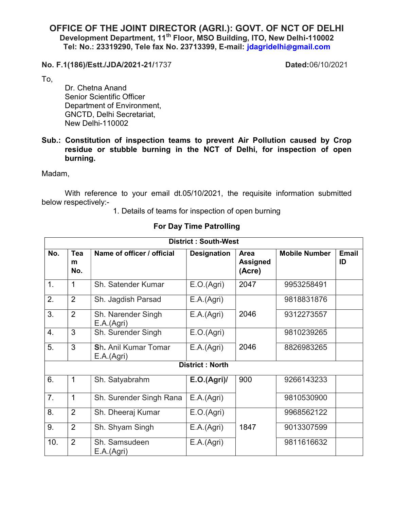## OFFICE OF THE JOINT DIRECTOR (AGRI.): GOVT. OF NCT OF DELHI Development Department, 11<sup>th</sup> Floor, MSO Building, ITO, New Delhi-110002 Tel: No.: 23319290, Tele fax No. 23713399, E-mail: jdagridelhi@gmail.com

No. F.1(186)/Estt./JDA/2021-21/1737 Dated:06/10/2021

To,

 Dr. Chetna Anand Senior Scientific Officer Department of Environment, GNCTD, Delhi Secretariat, New Delhi-110002

Sub.: Constitution of inspection teams to prevent Air Pollution caused by Crop residue or stubble burning in the NCT of Delhi, for inspection of open burning.

Madam,

With reference to your email dt.05/10/2021, the requisite information submitted below respectively:-

1. Details of teams for inspection of open burning

| <b>District: South-West</b> |                 |                                    |                    |                                          |                      |                    |  |
|-----------------------------|-----------------|------------------------------------|--------------------|------------------------------------------|----------------------|--------------------|--|
| No.                         | Tea<br>m<br>No. | Name of officer / official         | <b>Designation</b> | <b>Area</b><br><b>Assigned</b><br>(Acre) | <b>Mobile Number</b> | <b>Email</b><br>ID |  |
| $\mathbf 1$ .               | 1               | Sh. Satender Kumar                 | E.O.(Agri)         | 2047                                     | 9953258491           |                    |  |
| 2.                          | $\overline{2}$  | Sh. Jagdish Parsad                 | E.A.(Agri)         |                                          | 9818831876           |                    |  |
| 3.                          | $\overline{2}$  | Sh. Narender Singh<br>E.A.(Agri)   | E.A.(Agri)         | 2046                                     | 9312273557           |                    |  |
| 4.                          | 3               | Sh. Surender Singh                 | E.O.(Agri)         |                                          | 9810239265           |                    |  |
| 5.                          | 3               | Sh. Anil Kumar Tomar<br>E.A.(Agri) | E.A.(Agri)         | 2046                                     | 8826983265           |                    |  |
| <b>District: North</b>      |                 |                                    |                    |                                          |                      |                    |  |
| 6.                          | 1               | Sh. Satyabrahm                     | E.O.(Agri)         | 900                                      | 9266143233           |                    |  |
| 7.                          | 1               | Sh. Surender Singh Rana            | E.A.(Agri)         |                                          | 9810530900           |                    |  |
| 8.                          | $\overline{2}$  | Sh. Dheeraj Kumar                  | E.O.(Agri)         |                                          | 9968562122           |                    |  |
| 9.                          | $\overline{2}$  | Sh. Shyam Singh                    | E.A.(Agri)         | 1847                                     | 9013307599           |                    |  |
| 10.                         | $\overline{2}$  | Sh. Samsudeen<br>E.A.(Agri)        | E.A.(Agri)         |                                          | 9811616632           |                    |  |

## For Day Time Patrolling